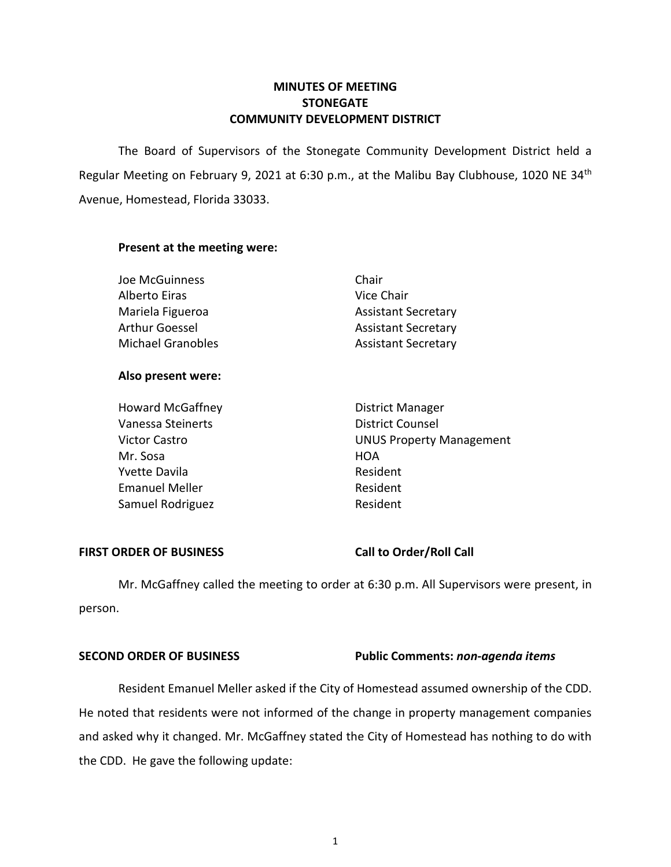# **MINUTES OF MEETING STONEGATE COMMUNITY DEVELOPMENT DISTRICT**

Regular Meeting on February 9, 2021 at 6:30 p.m., at the Malibu Bay Clubhouse, 1020 NE 34<sup>th</sup> Avenue, Homestead, Florida 33033. The Board of Supervisors of the Stonegate Community Development District held a

# **Present at the meeting were:**

### **Also present were:**

| <b>Howard McGaffney</b> | <b>District Manager</b>         |
|-------------------------|---------------------------------|
| Vanessa Steinerts       | <b>District Counsel</b>         |
| <b>Victor Castro</b>    | <b>UNUS Property Management</b> |
| Mr. Sosa                | HOA                             |
| <b>Yvette Davila</b>    | Resident                        |
| <b>Emanuel Meller</b>   | Resident                        |
| Samuel Rodriguez        | Resident                        |

# FIRST ORDER OF BUSINESS Call to Order/Roll Call

 Mr. McGaffney called the meeting to order at 6:30 p.m. All Supervisors were present, in person.

## **SECOND ORDER OF BUSINESS Public Comments:** *non-agenda items*

 Resident Emanuel Meller asked if the City of Homestead assumed ownership of the CDD. and asked why it changed. Mr. McGaffney stated the City of Homestead has nothing to do with He noted that residents were not informed of the change in property management companies the CDD. He gave the following update: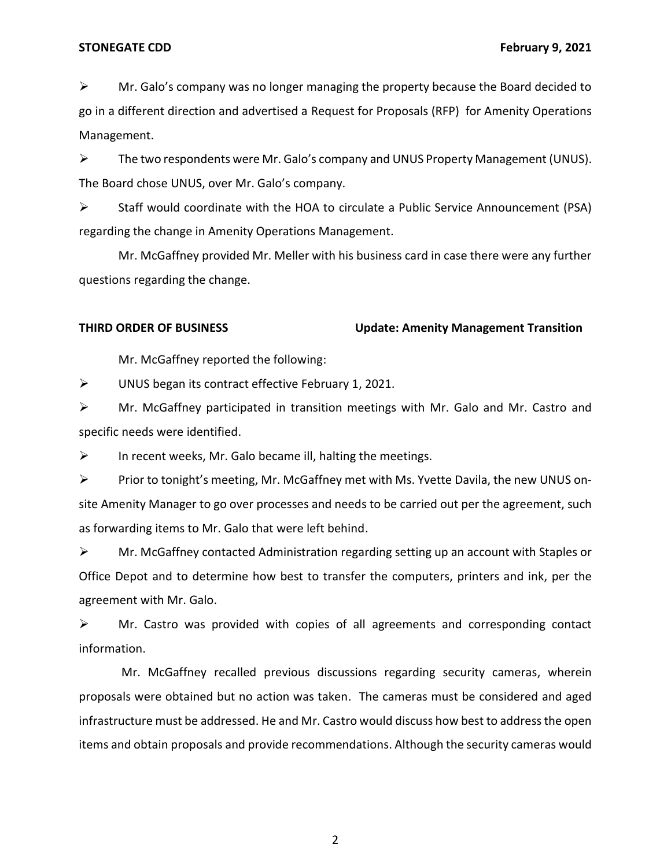#### **STONEGATE CDD February 9, 2021**

 $\triangleright$  Mr. Galo's company was no longer managing the property because the Board decided to go in a different direction and advertised a Request for Proposals (RFP) for Amenity Operations Management.

 The Board chose UNUS, over Mr. Galo's company.  $\triangleright$  The two respondents were Mr. Galo's company and UNUS Property Management (UNUS).

 ➢ Staff would coordinate with the HOA to circulate a Public Service Announcement (PSA) regarding the change in Amenity Operations Management.

 Mr. McGaffney provided Mr. Meller with his business card in case there were any further questions regarding the change.

### **THIRD ORDER OF BUSINESS Update: Amenity Management Transition**

Mr. McGaffney reported the following:

➢ UNUS began its contract effective February 1, 2021.

 ➢ Mr. McGaffney participated in transition meetings with Mr. Galo and Mr. Castro and specific needs were identified.

 $\triangleright$  In recent weeks, Mr. Galo became ill, halting the meetings.

 ➢ Prior to tonight's meeting, Mr. McGaffney met with Ms. Yvette Davila, the new UNUS on- site Amenity Manager to go over processes and needs to be carried out per the agreement, such as forwarding items to Mr. Galo that were left behind.

 $\triangleright$  Mr. McGaffney contacted Administration regarding setting up an account with Staples or Office Depot and to determine how best to transfer the computers, printers and ink, per the agreement with Mr. Galo.

 ➢ Mr. Castro was provided with copies of all agreements and corresponding contact information.

 proposals were obtained but no action was taken. The cameras must be considered and aged infrastructure must be addressed. He and Mr. Castro would discuss how best to address the open items and obtain proposals and provide recommendations. Although the security cameras would Mr. McGaffney recalled previous discussions regarding security cameras, wherein

2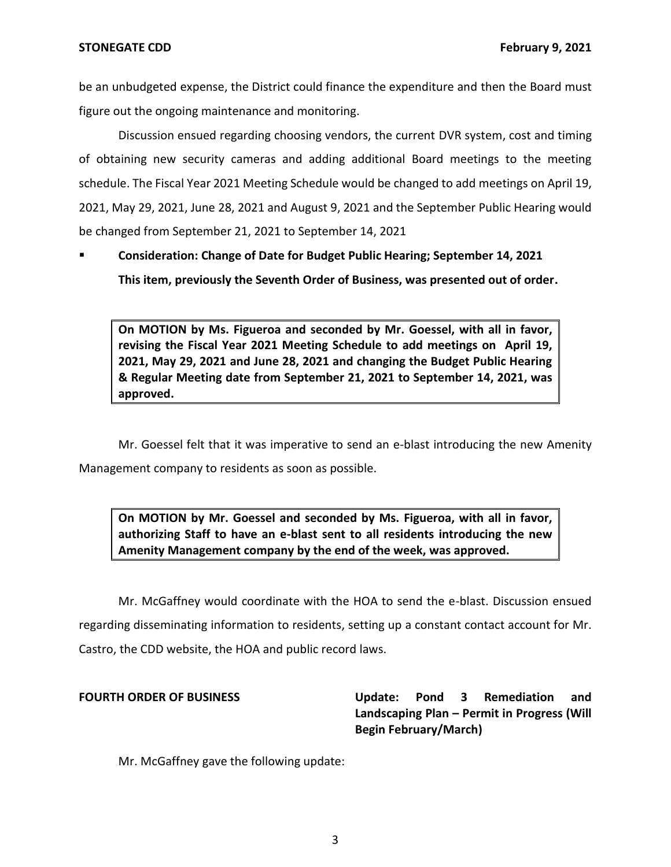be an unbudgeted expense, the District could finance the expenditure and then the Board must figure out the ongoing maintenance and monitoring.

 Discussion ensued regarding choosing vendors, the current DVR system, cost and timing of obtaining new security cameras and adding additional Board meetings to the meeting schedule. The Fiscal Year 2021 Meeting Schedule would be changed to add meetings on April 19, 2021, May 29, 2021, June 28, 2021 and August 9, 2021 and the September Public Hearing would be changed from September 21, 2021 to September 14, 2021

 ▪ **Consideration: Change of Date for Budget Public Hearing; September 14, 2021 This item, previously the Seventh Order of Business, was presented out of order.** 

 **On MOTION by Ms. Figueroa and seconded by Mr. Goessel, with all in favor, revising the Fiscal Year 2021 Meeting Schedule to add meetings on April 19, 2021, May 29, 2021 and June 28, 2021 and changing the Budget Public Hearing & Regular Meeting date from September 21, 2021 to September 14, 2021, was approved.** 

Mr. Goessel felt that it was imperative to send an e-blast introducing the new Amenity Management company to residents as soon as possible.

 **On MOTION by Mr. Goessel and seconded by Ms. Figueroa, with all in favor, authorizing Staff to have an e-blast sent to all residents introducing the new Amenity Management company by the end of the week, was approved.** 

 Mr. McGaffney would coordinate with the HOA to send the e-blast. Discussion ensued regarding disseminating information to residents, setting up a constant contact account for Mr. Castro, the CDD website, the HOA and public record laws.

Update:  **Landscaping Plan – Permit in Progress (Will FOURTH ORDER OF BUSINESS Update: Pond 3 Remediation and Begin February/March)** 

Mr. McGaffney gave the following update: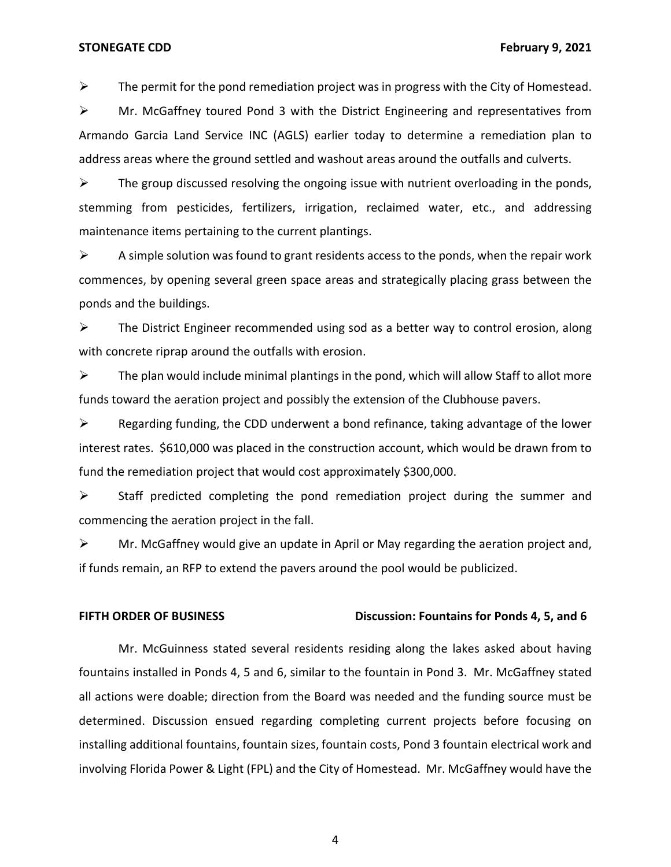**STONEGATE CDD February 9, 2021** 

 $\triangleright$  The permit for the pond remediation project was in progress with the City of Homestead.

 ➢ Mr. McGaffney toured Pond 3 with the District Engineering and representatives from Armando Garcia Land Service INC (AGLS) earlier today to determine a remediation plan to address areas where the ground settled and washout areas around the outfalls and culverts.

 $\triangleright$  The group discussed resolving the ongoing issue with nutrient overloading in the ponds, stemming from pesticides, fertilizers, irrigation, reclaimed water, etc., and addressing maintenance items pertaining to the current plantings.

 $\triangleright$  A simple solution was found to grant residents access to the ponds, when the repair work commences, by opening several green space areas and strategically placing grass between the ponds and the buildings.

 $\triangleright$  The District Engineer recommended using sod as a better way to control erosion, along with concrete riprap around the outfalls with erosion.

 $\triangleright$  The plan would include minimal plantings in the pond, which will allow Staff to allot more funds toward the aeration project and possibly the extension of the Clubhouse pavers.

 $\triangleright$  Regarding funding, the CDD underwent a bond refinance, taking advantage of the lower interest rates. \$610,000 was placed in the construction account, which would be drawn from to fund the remediation project that would cost approximately \$300,000.

 ➢ Staff predicted completing the pond remediation project during the summer and commencing the aeration project in the fall.

 $\triangleright$  Mr. McGaffney would give an update in April or May regarding the aeration project and, if funds remain, an RFP to extend the pavers around the pool would be publicized.

#### **FIFTH ORDER OF BUSINESS** Discussion: Fountains for Ponds 4, 5, and 6

 fountains installed in Ponds 4, 5 and 6, similar to the fountain in Pond 3. Mr. McGaffney stated all actions were doable; direction from the Board was needed and the funding source must be determined. Discussion ensued regarding completing current projects before focusing on installing additional fountains, fountain sizes, fountain costs, Pond 3 fountain electrical work and involving Florida Power & Light (FPL) and the City of Homestead. Mr. McGaffney would have the Mr. McGuinness stated several residents residing along the lakes asked about having

4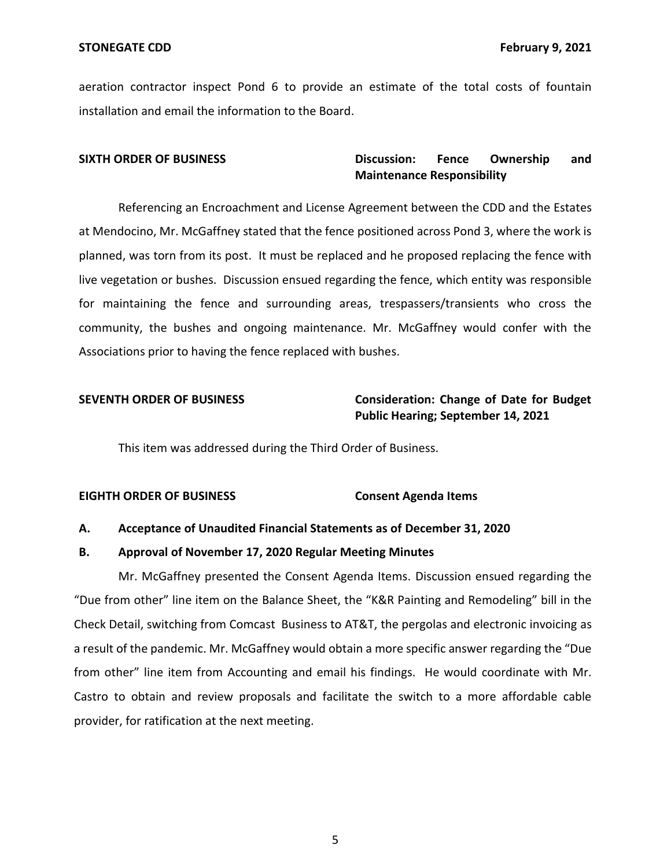aeration contractor inspect Pond 6 to provide an estimate of the total costs of fountain installation and email the information to the Board.

#### Discussion: **SIXTH ORDER OF BUSINESS Discussion: Fence Ownership and Maintenance Responsibility**

 Referencing an Encroachment and License Agreement between the CDD and the Estates at Mendocino, Mr. McGaffney stated that the fence positioned across Pond 3, where the work is live vegetation or bushes. Discussion ensued regarding the fence, which entity was responsible for maintaining the fence and surrounding areas, trespassers/transients who cross the community, the bushes and ongoing maintenance. Mr. McGaffney would confer with the Associations prior to having the fence replaced with bushes. planned, was torn from its post. It must be replaced and he proposed replacing the fence with

# **SEVENTH ORDER OF BUSINESS Consideration: Change of Date for Budget Public Hearing; September 14, 2021**

This item was addressed during the Third Order of Business.

### **EIGHTH ORDER OF BUSINESS** Consent Agenda Items

### **A. Acceptance of Unaudited Financial Statements as of December 31, 2020**

#### **B. Approval of November 17, 2020 Regular Meeting Minutes**

 Mr. McGaffney presented the Consent Agenda Items. Discussion ensued regarding the "Due from other" line item on the Balance Sheet, the "K&R Painting and Remodeling" bill in the Check Detail, switching from Comcast Business to AT&T, the pergolas and electronic invoicing as a result of the pandemic. Mr. McGaffney would obtain a more specific answer regarding the "Due from other" line item from Accounting and email his findings. He would coordinate with Mr. Castro to obtain and review proposals and facilitate the switch to a more affordable cable provider, for ratification at the next meeting.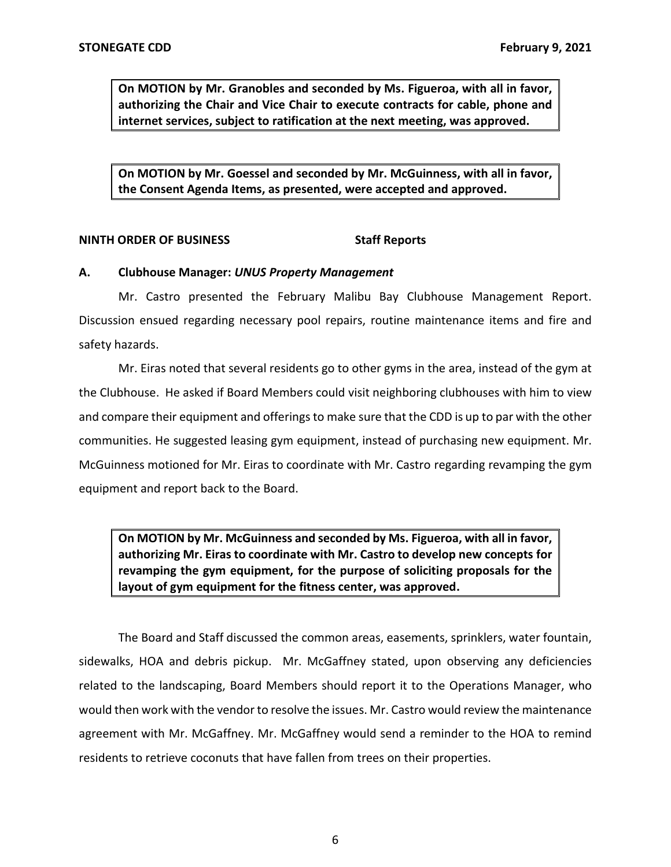**On MOTION by Mr. Granobles and seconded by Ms. Figueroa, with all in favor, authorizing the Chair and Vice Chair to execute contracts for cable, phone and internet services, subject to ratification at the next meeting, was approved.** 

 **On MOTION by Mr. Goessel and seconded by Mr. McGuinness, with all in favor, the Consent Agenda Items, as presented, were accepted and approved.** 

## **NINTH ORDER OF BUSINESS Staff Reports**

### **A. Clubhouse Manager:** *UNUS Property Management*

 Discussion ensued regarding necessary pool repairs, routine maintenance items and fire and Mr. Castro presented the February Malibu Bay Clubhouse Management Report. safety hazards.

 Mr. Eiras noted that several residents go to other gyms in the area, instead of the gym at the Clubhouse. He asked if Board Members could visit neighboring clubhouses with him to view and compare their equipment and offerings to make sure that the CDD is up to par with the other communities. He suggested leasing gym equipment, instead of purchasing new equipment. Mr. McGuinness motioned for Mr. Eiras to coordinate with Mr. Castro regarding revamping the gym equipment and report back to the Board.

 **On MOTION by Mr. McGuinness and seconded by Ms. Figueroa, with all in favor, authorizing Mr. Eiras to coordinate with Mr. Castro to develop new concepts for revamping the gym equipment, for the purpose of soliciting proposals for the layout of gym equipment for the fitness center, was approved.** 

 The Board and Staff discussed the common areas, easements, sprinklers, water fountain, sidewalks, HOA and debris pickup. Mr. McGaffney stated, upon observing any deficiencies related to the landscaping, Board Members should report it to the Operations Manager, who would then work with the vendor to resolve the issues. Mr. Castro would review the maintenance agreement with Mr. McGaffney. Mr. McGaffney would send a reminder to the HOA to remind residents to retrieve coconuts that have fallen from trees on their properties.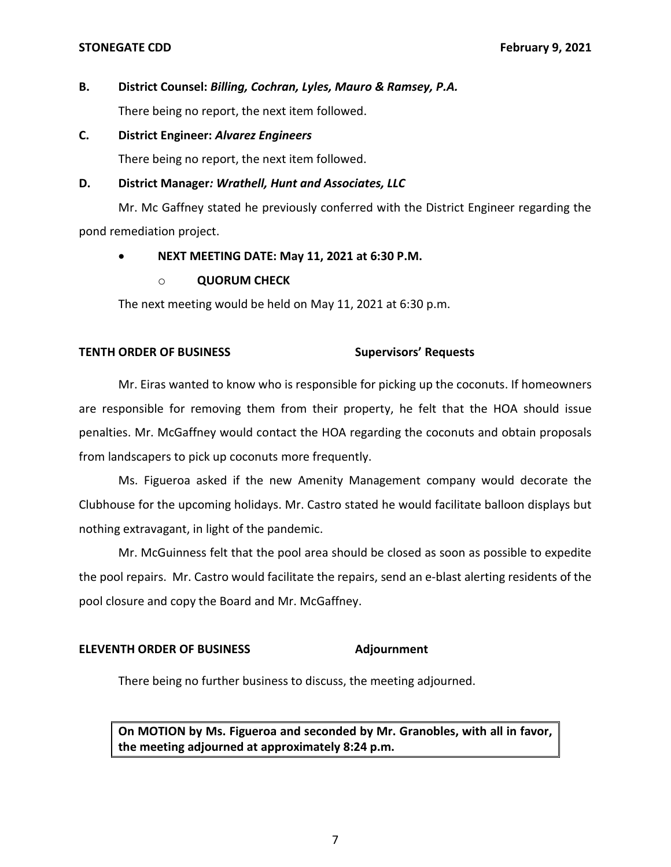### **STONEGATE CDD February 9, 2021**

# **B. District Counsel:** *Billing, Cochran, Lyles, Mauro & Ramsey, P.A.*

There being no report, the next item followed.

 **C. District Engineer:** *Alvarez Engineers* 

There being no report, the next item followed.

# **D. District Manager***: Wrathell, Hunt and Associates, LLC*

 Mr. Mc Gaffney stated he previously conferred with the District Engineer regarding the pond remediation project.

# • **NEXT MEETING DATE: May 11, 2021 at 6:30 P.M.**

# o **QUORUM CHECK**

The next meeting would be held on May 11, 2021 at 6:30 p.m.

# **TENTH ORDER OF BUSINESS Supervisors' Requests**

 Mr. Eiras wanted to know who is responsible for picking up the coconuts. If homeowners are responsible for removing them from their property, he felt that the HOA should issue penalties. Mr. McGaffney would contact the HOA regarding the coconuts and obtain proposals from landscapers to pick up coconuts more frequently.

 Ms. Figueroa asked if the new Amenity Management company would decorate the Clubhouse for the upcoming holidays. Mr. Castro stated he would facilitate balloon displays but nothing extravagant, in light of the pandemic.

 Mr. McGuinness felt that the pool area should be closed as soon as possible to expedite the pool repairs. Mr. Castro would facilitate the repairs, send an e-blast alerting residents of the pool closure and copy the Board and Mr. McGaffney.

# **ELEVENTH ORDER OF BUSINESS Adjournment**

There being no further business to discuss, the meeting adjourned.

 **On MOTION by Ms. Figueroa and seconded by Mr. Granobles, with all in favor, the meeting adjourned at approximately 8:24 p.m.**